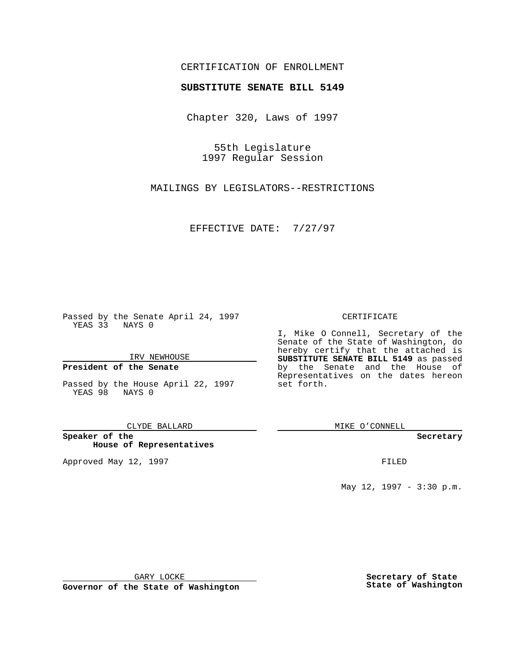## CERTIFICATION OF ENROLLMENT

# **SUBSTITUTE SENATE BILL 5149**

Chapter 320, Laws of 1997

55th Legislature 1997 Regular Session

MAILINGS BY LEGISLATORS--RESTRICTIONS

EFFECTIVE DATE: 7/27/97

Passed by the Senate April 24, 1997 YEAS 33 NAYS 0

IRV NEWHOUSE

### **President of the Senate**

Passed by the House April 22, 1997 YEAS 98 NAYS 0

CLYDE BALLARD

**Speaker of the House of Representatives**

Approved May 12, 1997 **FILED** 

### CERTIFICATE

I, Mike O Connell, Secretary of the Senate of the State of Washington, do hereby certify that the attached is **SUBSTITUTE SENATE BILL 5149** as passed by the Senate and the House of Representatives on the dates hereon set forth.

MIKE O'CONNELL

#### **Secretary**

May 12, 1997 - 3:30 p.m.

GARY LOCKE

**Governor of the State of Washington**

**Secretary of State State of Washington**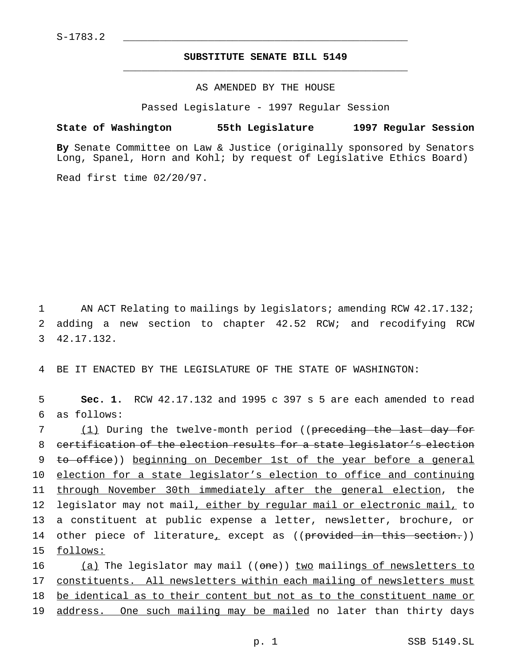# **SUBSTITUTE SENATE BILL 5149** \_\_\_\_\_\_\_\_\_\_\_\_\_\_\_\_\_\_\_\_\_\_\_\_\_\_\_\_\_\_\_\_\_\_\_\_\_\_\_\_\_\_\_\_\_\_\_

### AS AMENDED BY THE HOUSE

Passed Legislature - 1997 Regular Session

### **State of Washington 55th Legislature 1997 Regular Session**

**By** Senate Committee on Law & Justice (originally sponsored by Senators Long, Spanel, Horn and Kohl; by request of Legislative Ethics Board)

Read first time 02/20/97.

1 AN ACT Relating to mailings by legislators; amending RCW 42.17.132; 2 adding a new section to chapter 42.52 RCW; and recodifying RCW 3 42.17.132.

4 BE IT ENACTED BY THE LEGISLATURE OF THE STATE OF WASHINGTON:

5 **Sec. 1.** RCW 42.17.132 and 1995 c 397 s 5 are each amended to read 6 as follows:

 (1) During the twelve-month period ((preceding the last day for certification of the election results for a state legislator's election to office)) beginning on December 1st of the year before a general election for a state legislator's election to office and continuing through November 30th immediately after the general election, the 12 legislator may not mail, either by regular mail or electronic mail, to a constituent at public expense a letter, newsletter, brochure, or 14 other piece of literature, except as ((provided in this section.)) 15 follows:

16 (a) The legislator may mail ((one)) two mailings of newsletters to 17 constituents. All newsletters within each mailing of newsletters must 18 be identical as to their content but not as to the constituent name or 19 address. One such mailing may be mailed no later than thirty days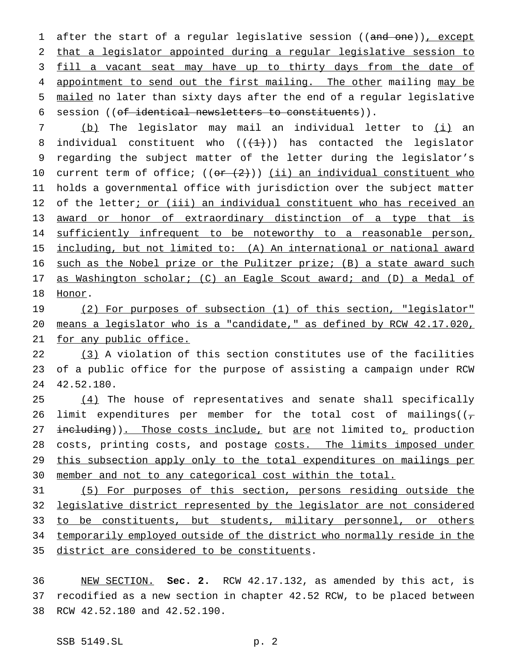1 after the start of a regular legislative session ((and one)), except 2 that a legislator appointed during a regular legislative session to 3 fill a vacant seat may have up to thirty days from the date of 4 appointment to send out the first mailing. The other mailing may be 5 mailed no later than sixty days after the end of a regular legislative 6 session ((of identical newsletters to constituents)).

7 (b) The legislator may mail an individual letter to (i) an 8 individual constituent who  $((+1))$  has contacted the legislator 9 regarding the subject matter of the letter during the legislator's 10 current term of office;  $((or (2)))(ii)$  an individual constituent who 11 holds a governmental office with jurisdiction over the subject matter 12 of the letter; or (iii) an individual constituent who has received an 13 award or honor of extraordinary distinction of a type that is 14 sufficiently infrequent to be noteworthy to a reasonable person, 15 including, but not limited to: (A) An international or national award 16 such as the Nobel prize or the Pulitzer prize; (B) a state award such 17 as Washington scholar; (C) an Eagle Scout award; and (D) a Medal of 18 Honor.

19 (2) For purposes of subsection (1) of this section, "legislator" 20 means a legislator who is a "candidate," as defined by RCW 42.17.020, 21 for any public office.

22 (3) A violation of this section constitutes use of the facilities 23 of a public office for the purpose of assisting a campaign under RCW 24 42.52.180.

25 (4) The house of representatives and senate shall specifically 26 limit expenditures per member for the total cost of mailings( $(\tau)$ 27 including)). Those costs include, but are not limited to, production 28 costs, printing costs, and postage costs. The limits imposed under 29 this subsection apply only to the total expenditures on mailings per 30 member and not to any categorical cost within the total.

 (5) For purposes of this section, persons residing outside the legislative district represented by the legislator are not considered 33 to be constituents, but students, military personnel, or others temporarily employed outside of the district who normally reside in the district are considered to be constituents.

36 NEW SECTION. **Sec. 2.** RCW 42.17.132, as amended by this act, is 37 recodified as a new section in chapter 42.52 RCW, to be placed between 38 RCW 42.52.180 and 42.52.190.